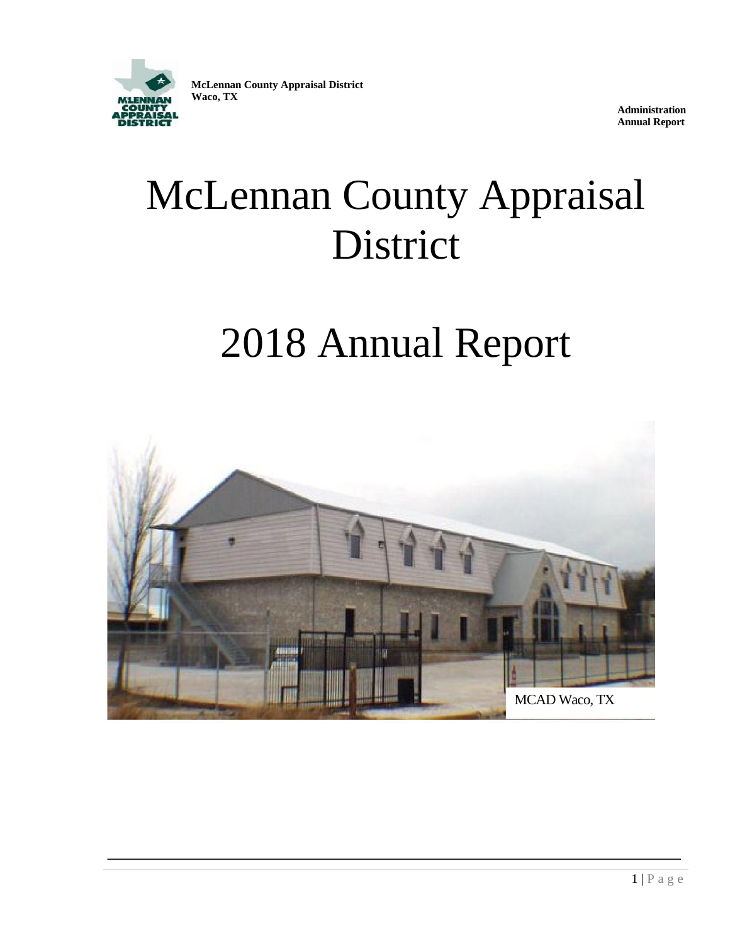

**McLennan County Appraisal District Waco, TX**

> **Administration Annual Report**

# McLennan County Appraisal District

# 2018 Annual Report

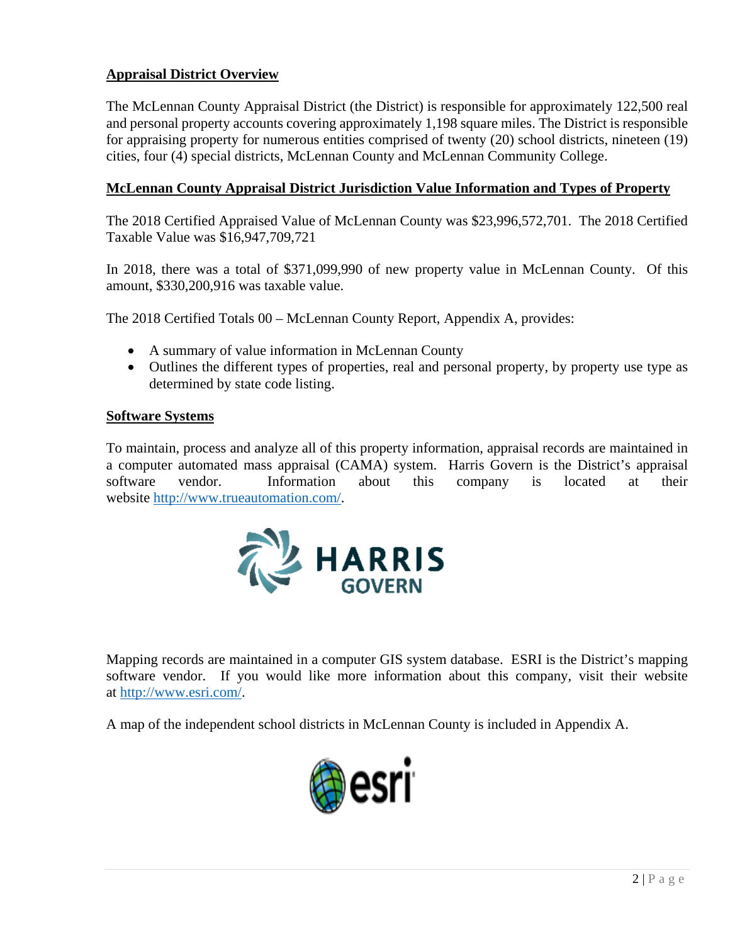# **Appraisal District Overview**

The McLennan County Appraisal District (the District) is responsible for approximately 122,500 real and personal property accounts covering approximately 1,198 square miles. The District is responsible for appraising property for numerous entities comprised of twenty (20) school districts, nineteen (19) cities, four (4) special districts, McLennan County and McLennan Community College.

# **McLennan County Appraisal District Jurisdiction Value Information and Types of Property**

The 2018 Certified Appraised Value of McLennan County was \$23,996,572,701. The 2018 Certified Taxable Value was \$16,947,709,721

In 2018, there was a total of \$371,099,990 of new property value in McLennan County. Of this amount, \$330,200,916 was taxable value.

The 2018 Certified Totals 00 – McLennan County Report, Appendix A, provides:

- A summary of value information in McLennan County
- Outlines the different types of properties, real and personal property, by property use type as determined by state code listing.

# **Software Systems**

To maintain, process and analyze all of this property information, appraisal records are maintained in a computer automated mass appraisal (CAMA) system. Harris Govern is the District's appraisal software vendor. Information about this company is located at their website [http://www.trueautomation.com/.](http://www.trueautomation.com/)



Mapping records are maintained in a computer GIS system database. ESRI is the District's mapping software vendor. If you would like more information about this company, visit their website at [http://www.esri.com/.](http://www.esri.com/)

A map of the independent school districts in McLennan County is included in Appendix A.

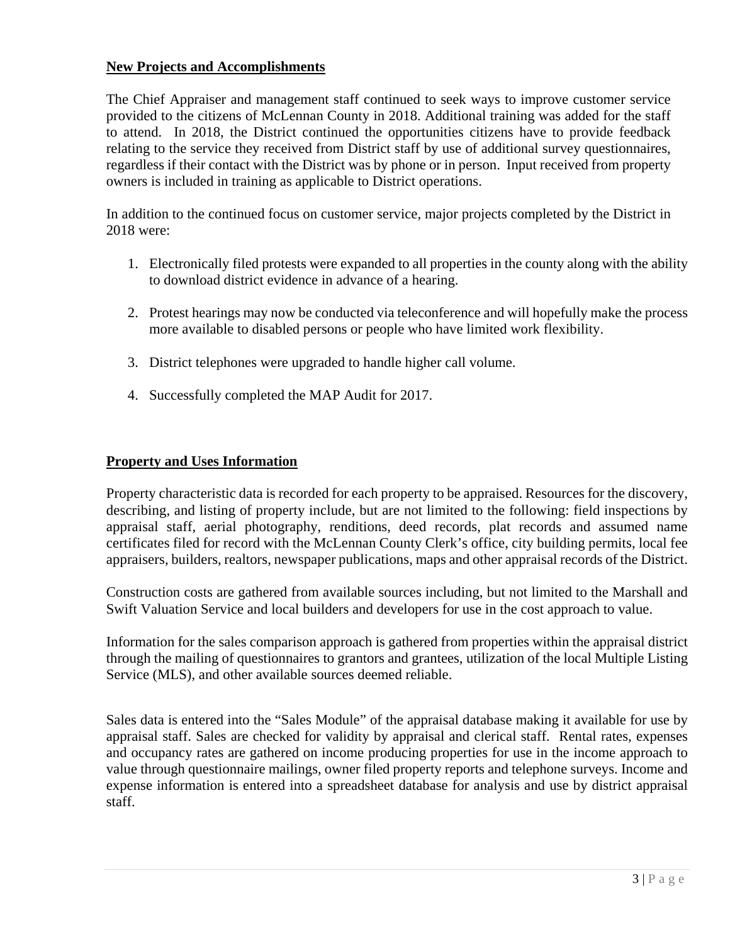# **New Projects and Accomplishments**

The Chief Appraiser and management staff continued to seek ways to improve customer service provided to the citizens of McLennan County in 2018. Additional training was added for the staff to attend. In 2018, the District continued the opportunities citizens have to provide feedback relating to the service they received from District staff by use of additional survey questionnaires, regardless if their contact with the District was by phone or in person. Input received from property owners is included in training as applicable to District operations.

In addition to the continued focus on customer service, major projects completed by the District in 2018 were:

- 1. Electronically filed protests were expanded to all properties in the county along with the ability to download district evidence in advance of a hearing.
- 2. Protest hearings may now be conducted via teleconference and will hopefully make the process more available to disabled persons or people who have limited work flexibility.
- 3. District telephones were upgraded to handle higher call volume.
- 4. Successfully completed the MAP Audit for 2017.

#### **Property and Uses Information**

Property characteristic data is recorded for each property to be appraised. Resources for the discovery, describing, and listing of property include, but are not limited to the following: field inspections by appraisal staff, aerial photography, renditions, deed records, plat records and assumed name certificates filed for record with the McLennan County Clerk's office, city building permits, local fee appraisers, builders, realtors, newspaper publications, maps and other appraisal records of the District.

Construction costs are gathered from available sources including, but not limited to the Marshall and Swift Valuation Service and local builders and developers for use in the cost approach to value.

Information for the sales comparison approach is gathered from properties within the appraisal district through the mailing of questionnaires to grantors and grantees, utilization of the local Multiple Listing Service (MLS), and other available sources deemed reliable.

Sales data is entered into the "Sales Module" of the appraisal database making it available for use by appraisal staff. Sales are checked for validity by appraisal and clerical staff. Rental rates, expenses and occupancy rates are gathered on income producing properties for use in the income approach to value through questionnaire mailings, owner filed property reports and telephone surveys. Income and expense information is entered into a spreadsheet database for analysis and use by district appraisal staff.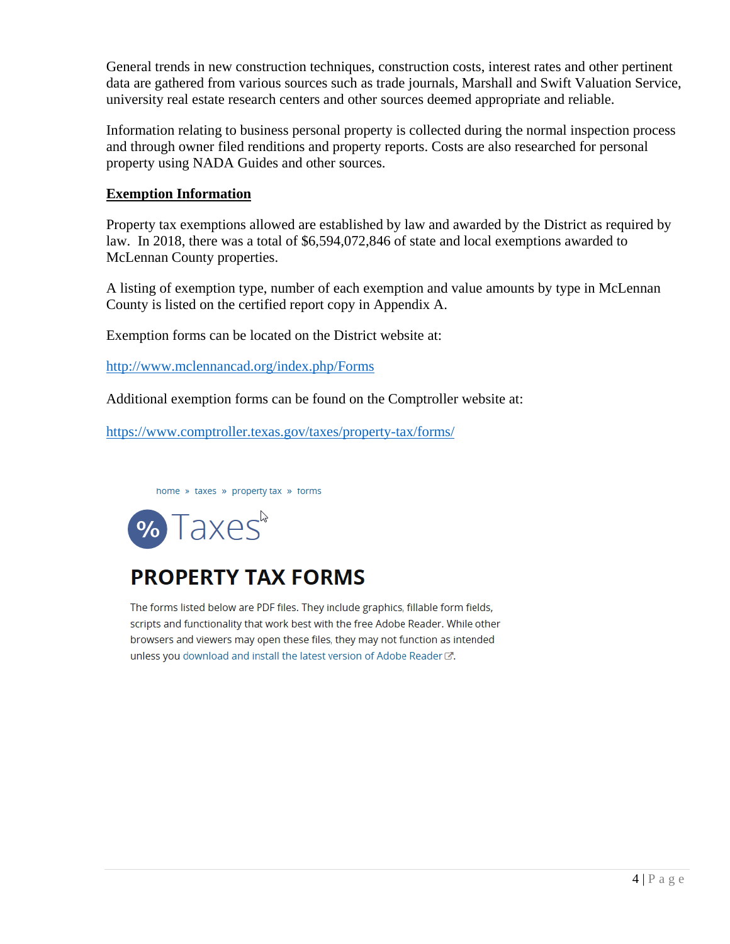General trends in new construction techniques, construction costs, interest rates and other pertinent data are gathered from various sources such as trade journals, Marshall and Swift Valuation Service, university real estate research centers and other sources deemed appropriate and reliable.

Information relating to business personal property is collected during the normal inspection process and through owner filed renditions and property reports. Costs are also researched for personal property using NADA Guides and other sources.

# **Exemption Information**

Property tax exemptions allowed are established by law and awarded by the District as required by law. In 2018, there was a total of \$6,594,072,846 of state and local exemptions awarded to McLennan County properties.

A listing of exemption type, number of each exemption and value amounts by type in McLennan County is listed on the certified report copy in Appendix A.

Exemption forms can be located on the District website at:

<http://www.mclennancad.org/index.php/Forms>

Additional exemption forms can be found on the Comptroller website at:

<https://www.comptroller.texas.gov/taxes/property-tax/forms/>

home » taxes » property tax » forms



# **PROPERTY TAX FORMS**

The forms listed below are PDF files. They include graphics, fillable form fields, scripts and functionality that work best with the free Adobe Reader. While other browsers and viewers may open these files, they may not function as intended unless you download and install the latest version of Adobe Reader C.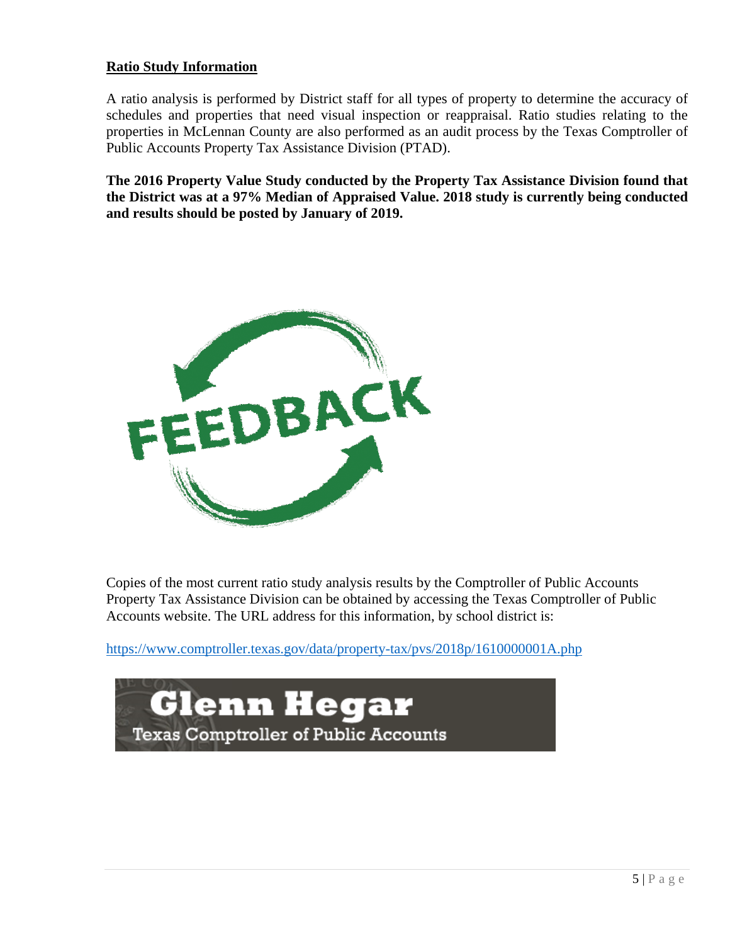# **Ratio Study Information**

A ratio analysis is performed by District staff for all types of property to determine the accuracy of schedules and properties that need visual inspection or reappraisal. Ratio studies relating to the properties in McLennan County are also performed as an audit process by the Texas Comptroller of Public Accounts Property Tax Assistance Division (PTAD).

**The 2016 Property Value Study conducted by the Property Tax Assistance Division found that the District was at a 97% Median of Appraised Value. 2018 study is currently being conducted and results should be posted by January of 2019.**



Copies of the most current ratio study analysis results by the Comptroller of Public Accounts Property Tax Assistance Division can be obtained by accessing the Texas Comptroller of Public Accounts website. The URL address for this information, by school district is:

[https://www.comptroller.texas.gov/data/property-tax/pvs/2018p/1610000001A.php](https://www.comptroller.texas.gov/data/property-tax/pvs/2016p/1610000001A.php)

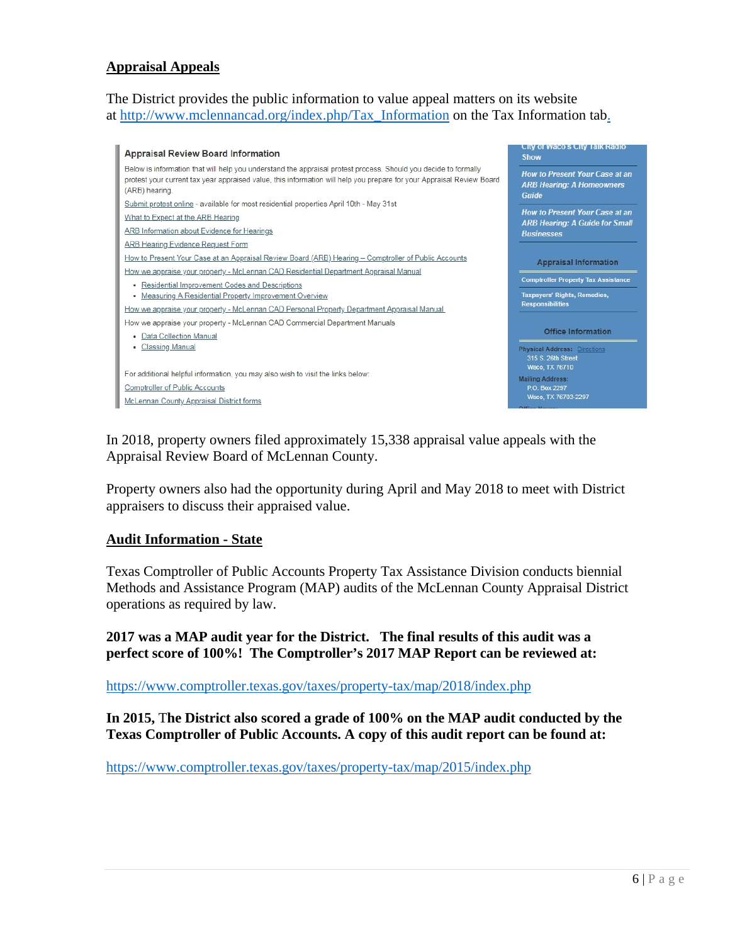#### **Appraisal Appeals**

The District provides the public information to value appeal matters on its website at [http://www.mclennancad.org/index.php/Tax\\_Information](http://www.mclennancad.org/index.php/Tax_Information) on the Tax Information tab.



In 2018, property owners filed approximately 15,338 appraisal value appeals with the Appraisal Review Board of McLennan County.

Property owners also had the opportunity during April and May 2018 to meet with District appraisers to discuss their appraised value.

#### **Audit Information - State**

Texas Comptroller of Public Accounts Property Tax Assistance Division conducts biennial Methods and Assistance Program (MAP) audits of the McLennan County Appraisal District operations as required by law.

**2017 was a MAP audit year for the District. The final results of this audit was a perfect score of 100%! The Comptroller's 2017 MAP Report can be reviewed at:**

[https://www.comptroller.texas.gov/taxes/property-tax/map/2018/index.php](https://www.comptroller.texas.gov/taxes/property-tax/map/2017/index.php)

**In 2015,** T**he District also scored a grade of 100% on the MAP audit conducted by the Texas Comptroller of Public Accounts. A copy of this audit report can be found at:** 

<https://www.comptroller.texas.gov/taxes/property-tax/map/2015/index.php>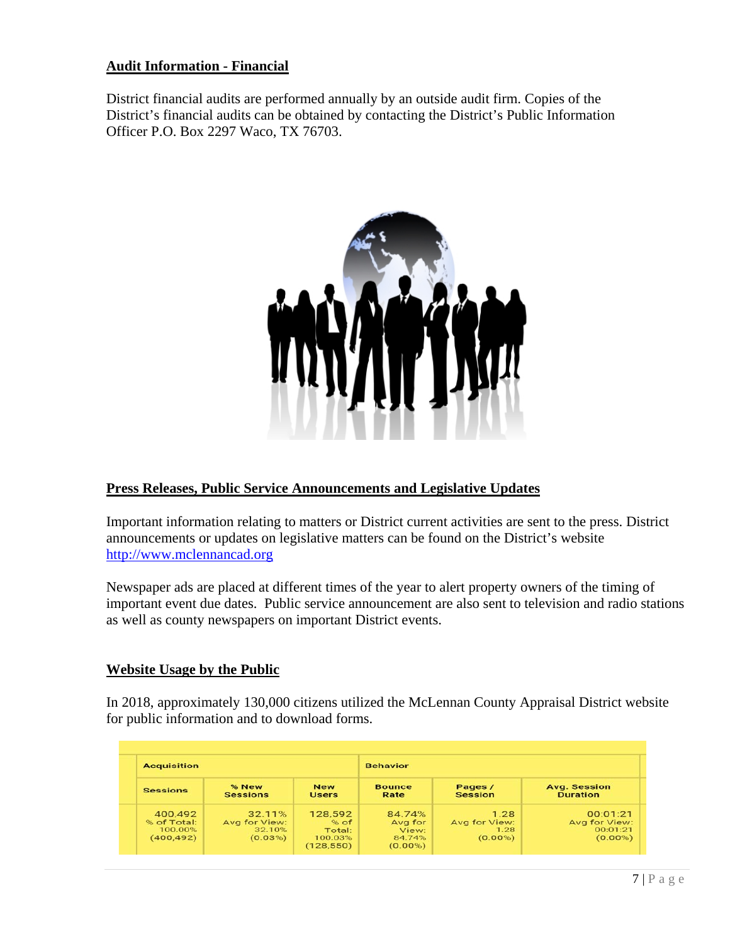# **Audit Information - Financial**

District financial audits are performed annually by an outside audit firm. Copies of the District's financial audits can be obtained by contacting the District's Public Information Officer P.O. Box 2297 Waco, TX 76703.



#### **Press Releases, Public Service Announcements and Legislative Updates**

Important information relating to matters or District current activities are sent to the press. District announcements or updates on legislative matters can be found on the District's website [http://www.mclennancad.org](http://www.mclennancad.org/)

Newspaper ads are placed at different times of the year to alert property owners of the timing of important event due dates. Public service announcement are also sent to television and radio stations as well as county newspapers on important District events.

#### **Website Usage by the Public**

In 2018, approximately 130,000 citizens utilized the McLennan County Appraisal District website for public information and to download forms.

| <b>Acquisition</b>                              |                                              |                                                    | <b>Behavior</b>                                    |                                             |                                                     |
|-------------------------------------------------|----------------------------------------------|----------------------------------------------------|----------------------------------------------------|---------------------------------------------|-----------------------------------------------------|
| <b>Sessions</b>                                 | % New<br><b>Sessions</b>                     | <b>New</b><br><b>Users</b>                         | <b>Bounce</b><br>Rate                              | Pages /<br>Session                          | <b>Avg. Session</b><br><b>Duration</b>              |
| 400.492<br>% of Total:<br>100.00%<br>(400, 492) | 32.11%<br>Avg for View:<br>32.10%<br>(0.03%) | 128,592<br>% of<br>Total:<br>100.03%<br>(128, 550) | 84.74%<br>Avg for<br>View:<br>84.74%<br>$(0.00\%)$ | 1.28<br>Avg for View:<br>1.28<br>$(0.00\%)$ | 00:01:21<br>Avg for View:<br>00:01:21<br>$(0.00\%)$ |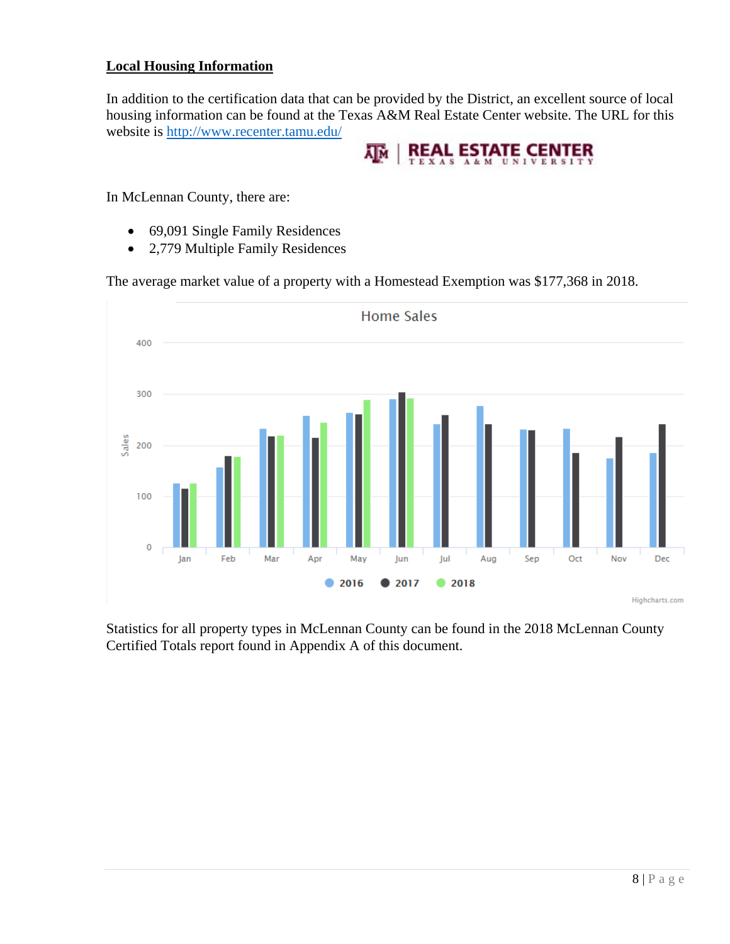# **Local Housing Information**

In addition to the certification data that can be provided by the District, an excellent source of local housing information can be found at the Texas A&M Real Estate Center website. The URL for this website is<http://www.recenter.tamu.edu/>



In McLennan County, there are:

- 69,091 Single Family Residences
- 2,779 Multiple Family Residences

The average market value of a property with a Homestead Exemption was \$177,368 in 2018.



Statistics for all property types in McLennan County can be found in the 2018 McLennan County Certified Totals report found in Appendix A of this document.